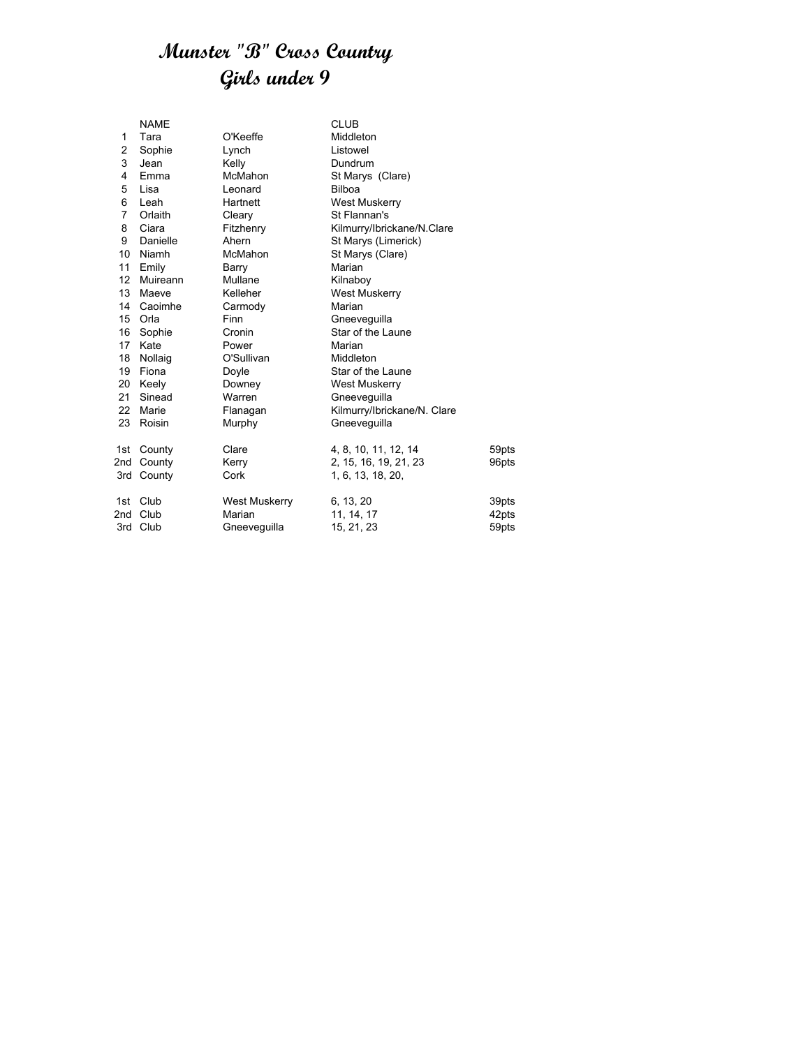#### **Munster "B" Cross Country Girls under 9**

|                 | <b>NAME</b> |               | <b>CLUB</b>                 |       |
|-----------------|-------------|---------------|-----------------------------|-------|
| 1               | Tara        | O'Keeffe      | Middleton                   |       |
| 2               | Sophie      | Lynch         | Listowel                    |       |
| 3               | Jean        | Kelly         | Dundrum                     |       |
| 4               | Emma        | McMahon       | St Marys (Clare)            |       |
| 5               | Lisa        | Leonard       | <b>Bilboa</b>               |       |
| 6               | Leah        | Hartnett      | <b>West Muskerry</b>        |       |
| $\overline{7}$  | Orlaith     | Cleary        | St Flannan's                |       |
| 8               | Ciara       | Fitzhenry     | Kilmurry/Ibrickane/N.Clare  |       |
| 9               | Danielle    | Ahern         | St Marys (Limerick)         |       |
| 10              | Niamh       | McMahon       | St Marys (Clare)            |       |
| 11              | Emily       | Barry         | Marian                      |       |
| 12 <sup>°</sup> | Muireann    | Mullane       | Kilnaboy                    |       |
| 13              | Maeve       | Kelleher      | <b>West Muskerry</b>        |       |
|                 | 14 Caoimhe  | Carmody       | Marian                      |       |
|                 | 15 Orla     | <b>Finn</b>   | Gneevequilla                |       |
| 16              | Sophie      | Cronin        | Star of the Laune           |       |
| 17              | Kate        | Power         | Marian                      |       |
| 18              | Nollaig     | O'Sullivan    | Middleton                   |       |
| 19              | Fiona       | Doyle         | Star of the Laune           |       |
| 20              | Keely       | Downey        | <b>West Muskerry</b>        |       |
| 21              | Sinead      | Warren        | Gneeveguilla                |       |
| 22              | Marie       | Flanagan      | Kilmurry/Ibrickane/N. Clare |       |
| 23              | Roisin      | Murphy        | Gneevequilla                |       |
|                 |             |               |                             |       |
| 1st l           | County      | Clare         | 4, 8, 10, 11, 12, 14        | 59pts |
| 2nd             | County      | Kerry         | 2, 15, 16, 19, 21, 23       | 96pts |
|                 | 3rd County  | Cork          | 1, 6, 13, 18, 20,           |       |
| 1st             | Club        | West Muskerry | 6, 13, 20                   | 39pts |
| 2nd             | Club        | Marian        | 11, 14, 17                  | 42pts |
|                 | 3rd Club    | Gneeveguilla  | 15, 21, 23                  | 59pts |
|                 |             |               |                             |       |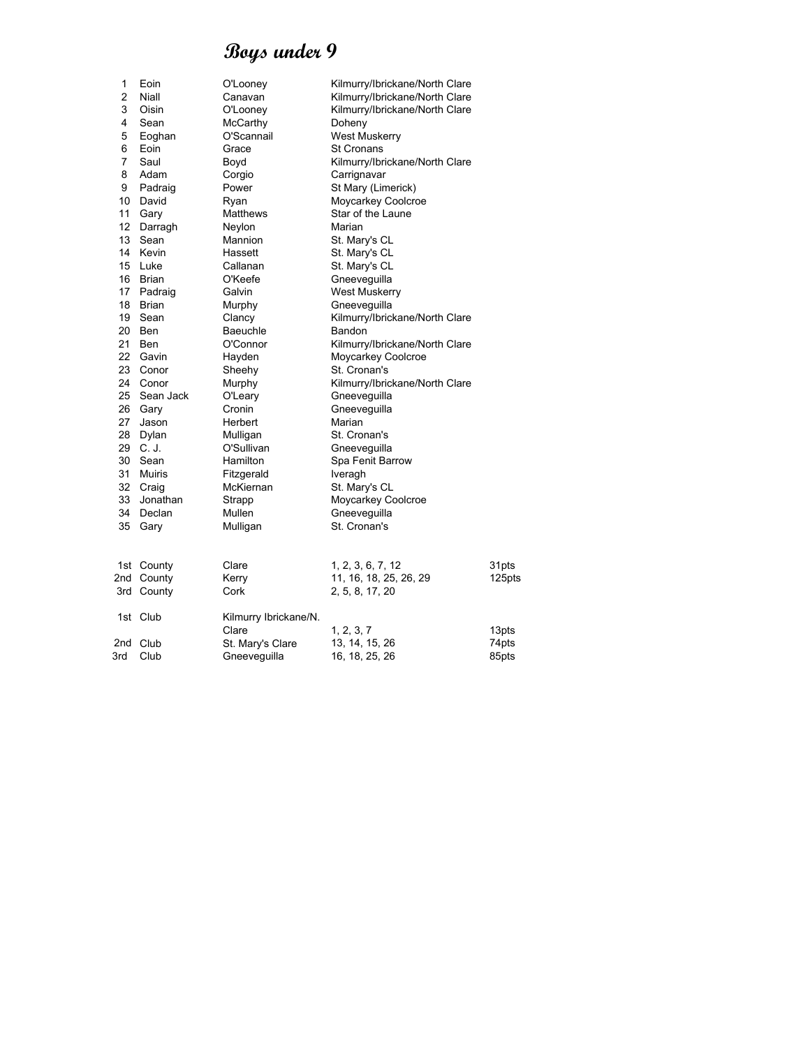| 1               | Eoin       | O'Looney              | Kilmurry/Ibrickane/North Clare |        |
|-----------------|------------|-----------------------|--------------------------------|--------|
| $\overline{c}$  | Niall      | Canavan               | Kilmurry/Ibrickane/North Clare |        |
| 3               | Oisin      | O'Looney              | Kilmurry/Ibrickane/North Clare |        |
| 4               | Sean       | McCarthy              | Doheny                         |        |
| 5               | Eoghan     | O'Scannail            | <b>West Muskerry</b>           |        |
| 6               | Eoin       | Grace                 | <b>St Cronans</b>              |        |
| $\overline{7}$  | Saul       | Boyd                  | Kilmurry/Ibrickane/North Clare |        |
| 8               | Adam       | Corgio                | Carrignavar                    |        |
| 9               | Padraig    | Power                 | St Mary (Limerick)             |        |
| 10              | David      | Ryan                  | Moycarkey Coolcroe             |        |
| 11              | Gary       | Matthews              | Star of the Laune              |        |
| 12 <sup>2</sup> | Darragh    | Neylon                | Marian                         |        |
| 13              | Sean       | Mannion               | St. Mary's CL                  |        |
|                 | 14 Kevin   | Hassett               | St. Mary's CL                  |        |
| 15              | Luke       | Callanan              | St. Mary's CL                  |        |
| 16              | Brian      | O'Keefe               | Gneeveguilla                   |        |
|                 | 17 Padraig | Galvin                | <b>West Muskerry</b>           |        |
| 18              | Brian      | Murphy                | Gneeveguilla                   |        |
| 19              | Sean       | Clancy                | Kilmurry/Ibrickane/North Clare |        |
| 20              | Ben        | <b>Baeuchle</b>       | Bandon                         |        |
| 21              | Ben        | O'Connor              | Kilmurry/Ibrickane/North Clare |        |
|                 | 22 Gavin   | Hayden                | Moycarkey Coolcroe             |        |
| 23              | Conor      | Sheehy                | St. Cronan's                   |        |
|                 | 24 Conor   | Murphy                | Kilmurry/Ibrickane/North Clare |        |
| 25              | Sean Jack  | O'Leary               | Gneeveguilla                   |        |
|                 | 26 Gary    | Cronin                | Gneeveguilla                   |        |
| 27              | Jason      | Herbert               | Marian                         |        |
| 28              | Dylan      | Mulligan              | St. Cronan's                   |        |
|                 | 29 C.J.    | O'Sullivan            | Gneeveguilla                   |        |
| 30              | Sean       | Hamilton              | Spa Fenit Barrow               |        |
| 31              | Muiris     | Fitzgerald            | Iveragh                        |        |
|                 | 32 Craig   | McKiernan             | St. Mary's CL                  |        |
| 33              | Jonathan   | Strapp                | Moycarkey Coolcroe             |        |
| 34              | Declan     | Mullen                | Gneeveguilla                   |        |
| 35              | Gary       | Mulligan              | St. Cronan's                   |        |
|                 |            |                       |                                |        |
|                 | 1st County | Clare                 | 1, 2, 3, 6, 7, 12              | 31pts  |
|                 | 2nd County | Kerry                 | 11, 16, 18, 25, 26, 29         | 125pts |
|                 | 3rd County | Cork                  |                                |        |
|                 |            |                       | 2, 5, 8, 17, 20                |        |
|                 | 1st Club   | Kilmurry Ibrickane/N. |                                |        |
|                 |            | Clare                 | 1, 2, 3, 7                     | 13pts  |
|                 | 2nd Club   | St. Mary's Clare      | 13, 14, 15, 26                 | 74pts  |
| 3rd             | Club       | Gneeveguilla          | 16, 18, 25, 26                 | 85pts  |
|                 |            |                       |                                |        |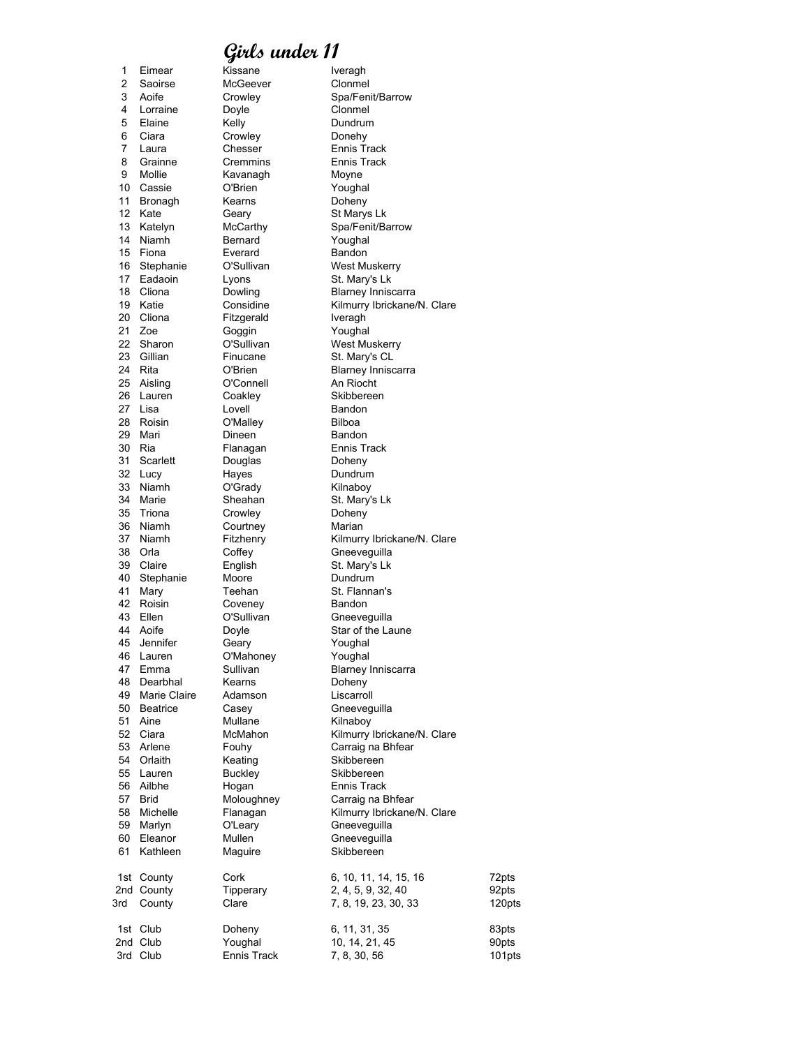| 1        | Eimear         | Kissane            | Iveragh                                     |        |
|----------|----------------|--------------------|---------------------------------------------|--------|
| 2        | Saoirse        | McGeever           | Clonmel                                     |        |
| 3        | Aoife          | Crowley            | Spa/Fenit/Barrow                            |        |
| 4        | Lorraine       | Doyle              | Clonmel                                     |        |
| 5        | Elaine         | Kelly              | Dundrum                                     |        |
| 6        | Ciara          | Crowley            | Donehy                                      |        |
| 7        | Laura          | Chesser            | Ennis Track                                 |        |
| 8        | Grainne        | Cremmins           | Ennis Track                                 |        |
| 9        | Mollie         | Kavanagh           | Moyne                                       |        |
| 10       | Cassie         | O'Brien            | Youghal                                     |        |
| 11       | Bronagh        | Kearns             | Doheny                                      |        |
| 12       | Kate           | Geary              | St Marys Lk                                 |        |
| 13       | Katelyn        | McCarthy           | Spa/Fenit/Barrow                            |        |
| 14       | Niamh          | Bernard            | Youghal                                     |        |
| 15       | Fiona          | Everard            | Bandon                                      |        |
| 16       | Stephanie      | O'Sullivan         | West Muskerry                               |        |
| 17       | Eadaoin        | Lyons              | St. Mary's Lk                               |        |
| 18       | Cliona         | Dowling            | Blarney Inniscarra                          |        |
| 19       | Katie          | Considine          | Kilmurry Ibrickane/N. Clare                 |        |
| 20       | Cliona         | Fitzgerald         | Iveragh                                     |        |
| 21       | Zoe            | Goggin             | Youghal                                     |        |
| 22       | Sharon         | O'Sullivan         | <b>West Muskerry</b>                        |        |
| 23       | Gillian        | Finucane           | St. Mary's CL                               |        |
| 24       | Rita           | O'Brien            | <b>Blarney Inniscarra</b>                   |        |
| 25       | Aisling        | O'Connell          | An Riocht                                   |        |
| 26       | Lauren         | Coakley            | Skibbereen                                  |        |
| 27       | Lisa           | Lovell             | Bandon                                      |        |
| 28       | Roisin         | O'Malley           | <b>Bilboa</b>                               |        |
| 29<br>30 | Mari<br>Ria    | Dineen             | Bandon<br>Ennis Track                       |        |
|          |                | Flanagan           |                                             |        |
| 31       | Scarlett       | Douglas            | Doheny                                      |        |
| 32<br>33 | Lucy           | Hayes              | Dundrum                                     |        |
| 34       | Niamh<br>Marie | O'Grady<br>Sheahan | Kilnaboy                                    |        |
| 35       |                |                    | St. Mary's Lk                               |        |
| 36       | Triona         | Crowley            | Doheny                                      |        |
| 37       | Niamh          | Courtney           | Marian                                      |        |
| 38       | Niamh<br>Orla  | Fitzhenry          | Kilmurry Ibrickane/N. Clare<br>Gneeveguilla |        |
| 39       | Claire         | Coffey<br>English  | St. Mary's Lk                               |        |
| 40       | Stephanie      | Moore              | Dundrum                                     |        |
| 41       | Mary           | Teehan             | St. Flannan's                               |        |
| 42       | Roisin         | Coveney            | Bandon                                      |        |
| 43       | Ellen          | O'Sullivan         | Gneeveguilla                                |        |
| 44       | Aoife          | Doyle              | Star of the Laune                           |        |
| 45       | Jennifer       | Geary              | Youghal                                     |        |
| 46       | Lauren         | O'Mahonev          | Youghal                                     |        |
| 47       | Emma           | Sullivan           | <b>Blarney Inniscarra</b>                   |        |
| 48       | Dearbhal       | Kearns             | Doheny                                      |        |
| 49       | Marie Claire   | Adamson            | Liscarroll                                  |        |
| 50       | Beatrice       | Casey              | Gneeveguilla                                |        |
| 51       | Aine           | Mullane            | Kilnaboy                                    |        |
| 52       | Ciara          | McMahon            | Kilmurry Ibrickane/N. Clare                 |        |
| 53       | Arlene         | Fouhy              | Carraig na Bhfear                           |        |
| 54       | Orlaith        | Keating            | Skibbereen                                  |        |
| 55       | Lauren         | <b>Buckley</b>     | Skibbereen                                  |        |
| 56       | Ailbhe         | Hogan              | Ennis Track                                 |        |
| 57       | <b>Brid</b>    | Moloughney         | Carraig na Bhfear                           |        |
| 58       | Michelle       | Flanagan           | Kilmurry Ibrickane/N. Clare                 |        |
| 59       | Marlyn         | O'Leary            | Gneeveguilla                                |        |
| 60       | Eleanor        | Mullen             | Gneeveguilla                                |        |
| 61       | Kathleen       | Maguire            | Skibbereen                                  |        |
|          |                |                    |                                             |        |
|          | 1st County     | Cork               | 6, 10, 11, 14, 15, 16                       | 72pts  |
|          | 2nd County     | Tipperary          | 2, 4, 5, 9, 32, 40                          | 92pts  |
| 3rd      | County         | Clare              | 7, 8, 19, 23, 30, 33                        | 120pts |
|          |                |                    |                                             |        |
|          | 1st Club       | Doheny             | 6, 11, 31, 35                               | 83pts  |
|          | 2nd Club       | Youghal            | 10, 14, 21, 45                              | 90pts  |
|          | 3rd Club       | Ennis Track        | 7, 8, 30, 56                                | 101pts |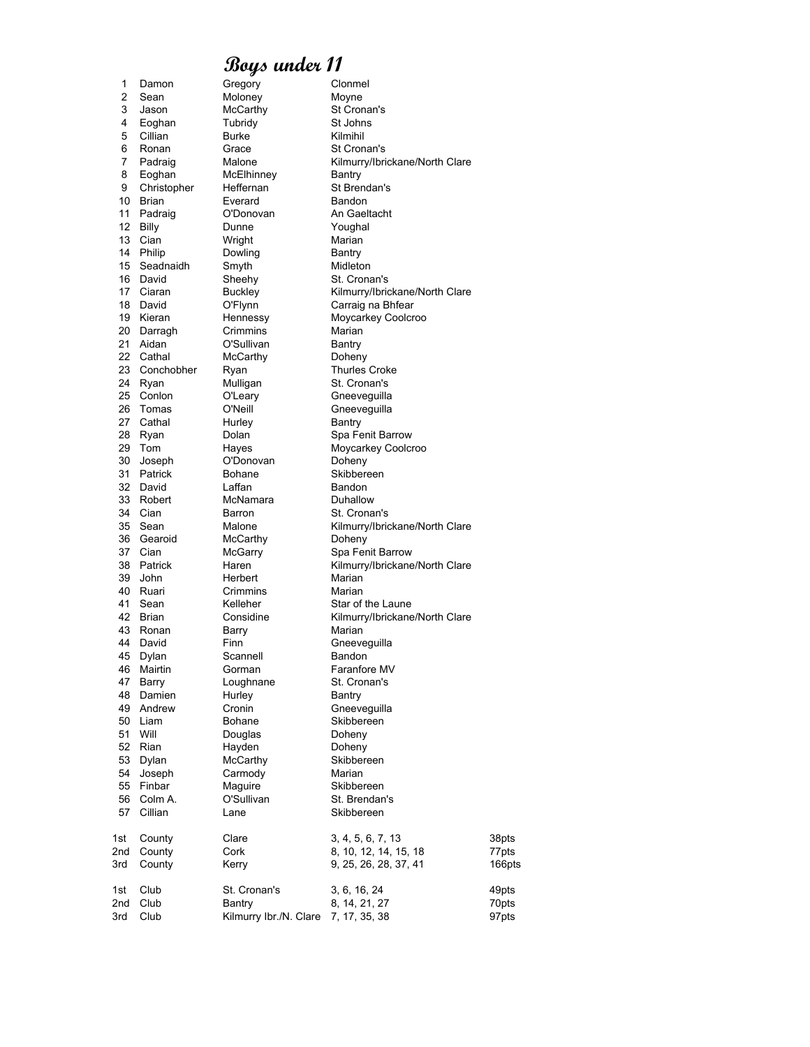| 1        | Damon            | Gregory                | Clonmel                        |        |
|----------|------------------|------------------------|--------------------------------|--------|
| 2        | Sean             | Moloney                | Moyne                          |        |
| 3        | Jason            | McCarthy               | St Cronan's                    |        |
| 4        | Eoghan           | Tubridy                | St Johns                       |        |
| 5        | Cillian          | <b>Burke</b>           | Kilmihil                       |        |
| 6        | Ronan            | Grace                  | St Cronan's                    |        |
| 7        | Padraig          | Malone                 | Kilmurry/Ibrickane/North Clare |        |
| 8        | Eoghan           | McElhinney             | Bantry                         |        |
| 9        | Christopher      | Heffernan              | St Brendan's                   |        |
| 10       | Brian            | Everard                | Bandon                         |        |
| 11<br>12 | Padraig          | O'Donovan<br>Dunne     | An Gaeltacht                   |        |
|          | Billy<br>13 Cian |                        | Youghal<br>Marian              |        |
|          | 14 Philip        | Wright<br>Dowling      | Bantry                         |        |
| 15       | Seadnaidh        | Smyth                  | Midleton                       |        |
| 16       | David            | Sheehy                 | St. Cronan's                   |        |
| 17       | Ciaran           | Buckley                | Kilmurry/Ibrickane/North Clare |        |
| 18       | David            | O'Flynn                | Carraig na Bhfear              |        |
| 19       | Kieran           | Hennessy               | Moycarkey Coolcroo             |        |
| 20       | Darragh          | Crimmins               | Marian                         |        |
| 21       | Aidan            | O'Sullivan             | Bantry                         |        |
| 22       | Cathal           | McCarthy               | Doheny                         |        |
| 23       | Conchobher       | Ryan                   | <b>Thurles Croke</b>           |        |
| 24       | Ryan             | Mulligan               | St. Cronan's                   |        |
| 25       | Conlon           | O'Leary                | Gneeveguilla                   |        |
| 26       | Tomas            | O'Neill                | Gneeveguilla                   |        |
| 27       | Cathal           | Hurley                 | Bantry                         |        |
| 28       | Ryan             | Dolan                  | Spa Fenit Barrow               |        |
| 29       | Tom              | Hayes                  | Moycarkey Coolcroo             |        |
| 30       | Joseph           | O'Donovan              | Doheny                         |        |
| 31       | Patrick          | <b>Bohane</b>          | Skibbereen                     |        |
| 32       | David            | Laffan                 | Bandon                         |        |
| 33       | Robert           | McNamara               | Duhallow                       |        |
| 34       | Cian             | Barron                 | St. Cronan's                   |        |
| 35       | Sean             | Malone                 | Kilmurry/Ibrickane/North Clare |        |
| 36       | Gearoid          | McCarthy               | Doheny                         |        |
| 37       | Cian             | McGarry                | Spa Fenit Barrow               |        |
| 38       | Patrick          | Haren                  | Kilmurry/Ibrickane/North Clare |        |
| 39       | John             | Herbert                | Marian                         |        |
| 40<br>41 | Ruari            | Crimmins<br>Kelleher   | Marian<br>Star of the Laune    |        |
| 42       | Sean<br>Brian    | Considine              | Kilmurry/Ibrickane/North Clare |        |
| 43       | Ronan            | Barry                  | Marian                         |        |
| 44       | David            | Finn                   | Gneeveguilla                   |        |
| 45       | Dylan            | Scannell               | Bandon                         |        |
| 46       | Mairtin          | Gorman                 | Faranfore MV                   |        |
| 47       | Barry            | Loughnane              | St. Cronan's                   |        |
| 48       | Damien           | Hurley                 | Bantry                         |        |
| 49       | Andrew           | Cronin                 | Gneeveguilla                   |        |
| 50       | Liam             | <b>Bohane</b>          | Skibbereen                     |        |
| 51       | Will             | Douglas                | Doheny                         |        |
| 52       | Rian             | Hayden                 | Doheny                         |        |
| 53       | Dylan            | McCarthy               | Skibbereen                     |        |
| 54       | Joseph           | Carmody                | Marian                         |        |
| 55       | Finbar           | Maguire                | Skibbereen                     |        |
| 56       | Colm A.          | O'Sullivan             | St. Brendan's                  |        |
| 57       | Cillian          | Lane                   | Skibbereen                     |        |
| 1st      | County           | Clare                  | 3, 4, 5, 6, 7, 13              | 38pts  |
| 2nd      | County           | Cork                   | 8, 10, 12, 14, 15, 18          | 77pts  |
| 3rd      | County           | Kerry                  | 9, 25, 26, 28, 37, 41          | 166pt: |
| 1st      | Club             | St. Cronan's           | 3, 6, 16, 24                   | 49pts  |
| 2nd      | Club             | Bantry                 | 8, 14, 21, 27                  | 70pts  |
| 3rd      | Club             | Kilmurry Ibr./N. Clare | 7, 17, 35, 38                  | 97pts  |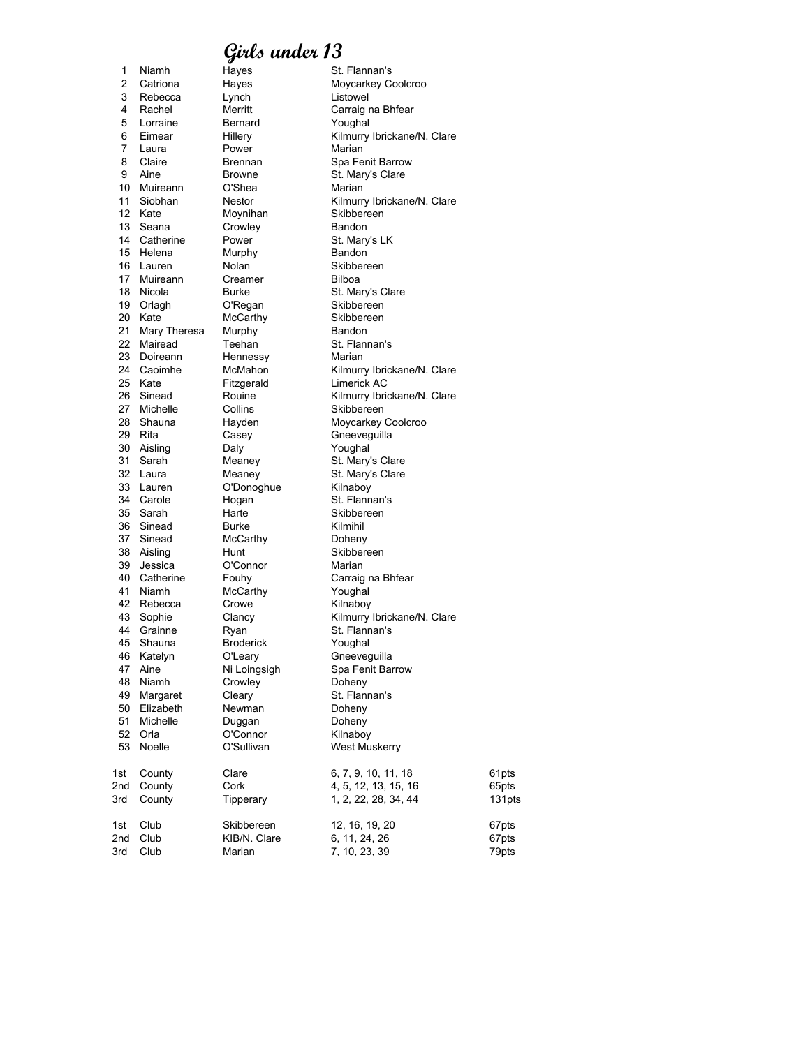1 Niamh Hayes St. Flannan's 2 Catriona Hayes Moycarkey Coolcroo 3 Rebecca Lynch Listowel 4 Rachel Merritt Carraig na Bhfear 5 Lorraine Bernard Youghal 6 Eimear Hillery Kilmurry Ibrickane/N. Clare 7 Laura Power Marian<br>8 Claire Brennan Spa Fe 8 Claire Brennan Spa Fenit Barrow<br>9 Aine Browne St. Mary's Clare 10 Muireann<br>11 Siobhan 11 Siobhan Nestor Kilmurry Ibrickane/N. Clare 12 Kate Moynihan Skibbereen 13 Seana Crowley Bandon 14 Catherine Power St. Mary's LK<br>15 Helena Murphy Bandon 15 Helena Murphy 16 Lauren Nolan Skibbereen 17 Muireann Creamer Bilboa 18 Nicola Burke St. Mary's Clare<br>19 Orlagh O'Regan Skibbereen 20 Kate McCarthy Skibbereen 21 Mary Theresa Murphy Bandon 22 Mairead Teehan St. Flannan's<br>23 Doireann Hennessy Marian 23 Doireann Hennessy<br>24 Caoimhe McMahon 25 Kate Fitzgerald Eimerick AC<br>26 Sinead Rouine Kilmurry Ibric 26 Sinead Rouine Kilmurry Ibrickane/N. Clare<br>27 Michelle Collins Skibbereen 28 Shauna Hayden Moycarkey Coolcroo 29 Rita Casey Gneeveguilla 30 Aisling Daly Youghal 31 Sarah Meaney St. Mary's Clare 32 Laura Meaney St. Mary's Clare<br>33 Lauren O'Donoghue Kilnaboy 33 Lauren O'Donoghue Kilnaboy<br>34 Carole Hogan St. Flann 35 Sarah Harte Skibbereen 36 Sinead Burke Burke Kilmihil<br>37 Sinead McCarthy Doheny 37 Sinead McCarthy 38 Aisling Hunt Skibbereen<br>39 Jessica O'Connor Marian O'Connor 40 Catherine Fouhy Carraig na Bhfear<br>41 Niamh McCarthy Youghal McCarthy Youghal<br>Crowe Kilnaboy 42 Rebecca 43 Sophie Clancy Kilmurry Ibrickane/N. Clare 44 Grainne Ryan St. Flannan's 45 Shauna Broderick 46 Katelyn O'Leary Gneeveguilla 47 Aine Ni Loingsigh Spa Fenit Barrow Niamh Crowley<br>Margaret Cleary 49 Margaret Cleary Cleary St. Flannan's 50 Elizabeth Newman Doheny<br>51 Michelle Duggan Doheny 51 Michelle Duggan Doheny O'Connor 53 Noelle **O'Sullivan** West Muskerry 1st County Clare 6, 7, 9, 10, 11, 18 61pts<br>2nd County Cork 4, 5, 12, 13, 15, 16 65pts 2nd County Cork 3rd County Cork 4, 5, 12, 13, 15, 16 65pts 3rd County 19perary 1, 2, 22, 28, 34, 44 131pts 1st Club Skibbereen 12, 16, 19, 20 67pts<br>
2nd Club KIB/N. Clare 6, 11, 24, 26 67pts 3rd Club Marian 7, 10, 23, 39 79pts

Browne St. Mary's Clare<br>
O'Shea Marian Skibbereen Kilmurry Ibrickane/N. Clare Skibbereen St. Flannan's 1, 2, 22, 28, 34, 44 2nd Club KIB/N. Clare 6, 11, 24, 26 67pts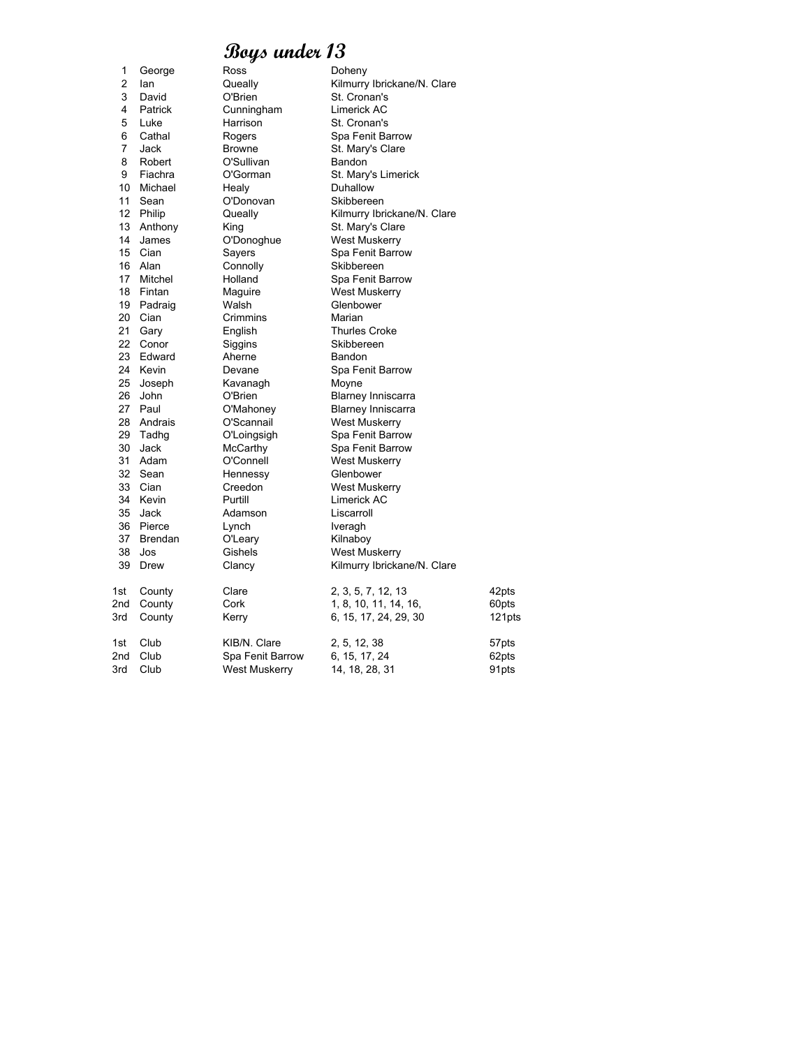| 1   | George         | Ross                 | Doheny                      |        |
|-----|----------------|----------------------|-----------------------------|--------|
| 2   | lan            | Queally              | Kilmurry Ibrickane/N. Clare |        |
| 3   | David          | O'Brien              | St. Cronan's                |        |
| 4   | Patrick        | Cunningham           | Limerick AC                 |        |
| 5   | Luke           | Harrison             | St. Cronan's                |        |
| 6   | Cathal         | Rogers               | Spa Fenit Barrow            |        |
| 7   | Jack           | <b>Browne</b>        | St. Mary's Clare            |        |
| 8   | Robert         | O'Sullivan           | Bandon                      |        |
| 9   | Fiachra        | O'Gorman             | St. Mary's Limerick         |        |
| 10  | Michael        | Healy                | Duhallow                    |        |
| 11  | Sean           | O'Donovan            | Skibbereen                  |        |
| 12  | Philip         | Queally              | Kilmurry Ibrickane/N. Clare |        |
| 13  | Anthony        | King                 | St. Mary's Clare            |        |
| 14  | James          | O'Donoghue           | <b>West Muskerry</b>        |        |
| 15  | Cian           | Sayers               | Spa Fenit Barrow            |        |
| 16  | Alan           | Connolly             | Skibbereen                  |        |
| 17  | Mitchel        | Holland              | Spa Fenit Barrow            |        |
| 18  | Fintan         | Maguire              | West Muskerry               |        |
| 19  | Padraig        | Walsh                | Glenbower                   |        |
| 20  | Cian           | Crimmins             | Marian                      |        |
| 21  | Gary           | English              | <b>Thurles Croke</b>        |        |
| 22  | Conor          | Siggins              | Skibbereen                  |        |
| 23  | Edward         | Aherne               | Bandon                      |        |
| 24  | Kevin          | Devane               | Spa Fenit Barrow            |        |
| 25  | Joseph         | Kavanagh             | Moyne                       |        |
| 26  | John           | O'Brien              | <b>Blarney Inniscarra</b>   |        |
| 27  | Paul           | O'Mahoney            | <b>Blarney Inniscarra</b>   |        |
| 28  | Andrais        | O'Scannail           | <b>West Muskerry</b>        |        |
| 29  | Tadhg          | O'Loingsigh          | Spa Fenit Barrow            |        |
| 30  | Jack           | McCarthy             | Spa Fenit Barrow            |        |
| 31  | Adam           | O'Connell            | West Muskerry               |        |
| 32  | Sean           | Hennessy             | Glenbower                   |        |
| 33  | Cian           | Creedon              | West Muskerry               |        |
| 34  | Kevin          | Purtill              | Limerick AC                 |        |
| 35  | Jack           | Adamson              | Liscarroll                  |        |
| 36  | Pierce         | Lynch                | Iveragh                     |        |
| 37  | <b>Brendan</b> | O'Leary              | Kilnaboy                    |        |
| 38  | Jos            | Gishels              | <b>West Muskerry</b>        |        |
| 39  | Drew           | Clancy               | Kilmurry Ibrickane/N. Clare |        |
| 1st | County         | Clare                | 2, 3, 5, 7, 12, 13          | 42pts  |
| 2nd | County         | Cork                 | 1, 8, 10, 11, 14, 16,       | 60pts  |
| 3rd | County         | Kerry                | 6, 15, 17, 24, 29, 30       | 121pts |
| 1st | Club           | KIB/N. Clare         | 2, 5, 12, 38                | 57pts  |
| 2nd | Club           | Spa Fenit Barrow     | 6, 15, 17, 24               | 62pts  |
| 3rd | Club           | <b>West Muskerry</b> | 14, 18, 28, 31              | 91pts  |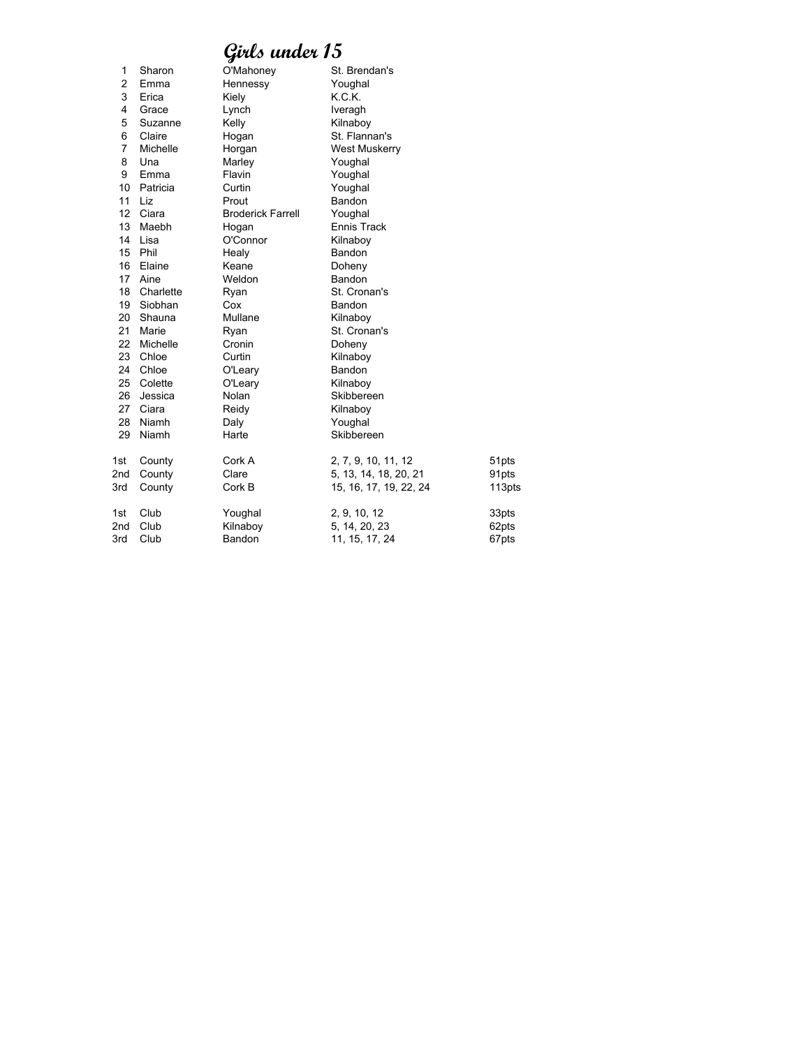| 1               | Sharon    | O'Mahoney                | St. Brendan's          |        |
|-----------------|-----------|--------------------------|------------------------|--------|
| 2               | Emma      | Hennessy                 | Youghal                |        |
| 3               | Erica     | Kiely                    | K.C.K.                 |        |
| 4               | Grace     | Lynch                    | Iveragh                |        |
| 5               | Suzanne   | Kelly                    | Kilnaboy               |        |
| 6               | Claire    | Hogan                    | St. Flannan's          |        |
| 7               | Michelle  | Horgan                   | West Muskerry          |        |
| 8               | Una       | Marley                   | Youghal                |        |
| 9               | Emma      | Flavin                   | Youghal                |        |
| 10              | Patricia  | Curtin                   | Youghal                |        |
| 11              | Liz       | Prout                    | Bandon                 |        |
| 12              | Ciara     | <b>Broderick Farrell</b> | Youghal                |        |
| 13              | Maebh     | Hogan                    | Ennis Track            |        |
| 14              | Lisa      | O'Connor                 | Kilnaboy               |        |
| 15              | Phil      | Healy                    | Bandon                 |        |
| 16              | Elaine    | Keane                    | Doheny                 |        |
| 17              | Aine      | Weldon                   | Bandon                 |        |
| 18              | Charlette | Ryan                     | St. Cronan's           |        |
| 19              | Siobhan   | Cox                      | Bandon                 |        |
| 20              | Shauna    | Mullane                  | Kilnaboy               |        |
| 21              | Marie     | Ryan                     | St. Cronan's           |        |
| 22              | Michelle  | Cronin                   | Doheny                 |        |
| 23              | Chloe     | Curtin                   | Kilnaboy               |        |
| 24              | Chloe     | O'Leary                  | Bandon                 |        |
| 25              | Colette   | O'Leary                  | Kilnaboy               |        |
| 26              | Jessica   | Nolan                    | Skibbereen             |        |
| 27              | Ciara     | Reidy                    | Kilnaboy               |        |
| 28              | Niamh     | Daly                     | Youghal                |        |
| 29              | Niamh     | Harte                    | Skibbereen             |        |
| 1st             | County    | Cork A                   | 2, 7, 9, 10, 11, 12    | 51pts  |
| 2nd             | County    | Clare                    | 5, 13, 14, 18, 20, 21  | 91pts  |
| 3rd             | County    | Cork B                   | 15, 16, 17, 19, 22, 24 | 113pts |
| 1st             | Club      | Youghal                  | 2, 9, 10, 12           | 33pts  |
| 2 <sub>nd</sub> | Club      | Kilnaboy                 | 5, 14, 20, 23          | 62pts  |
| 3rd             | Club      | Bandon                   | 11, 15, 17, 24         | 67pts  |
|                 |           |                          |                        |        |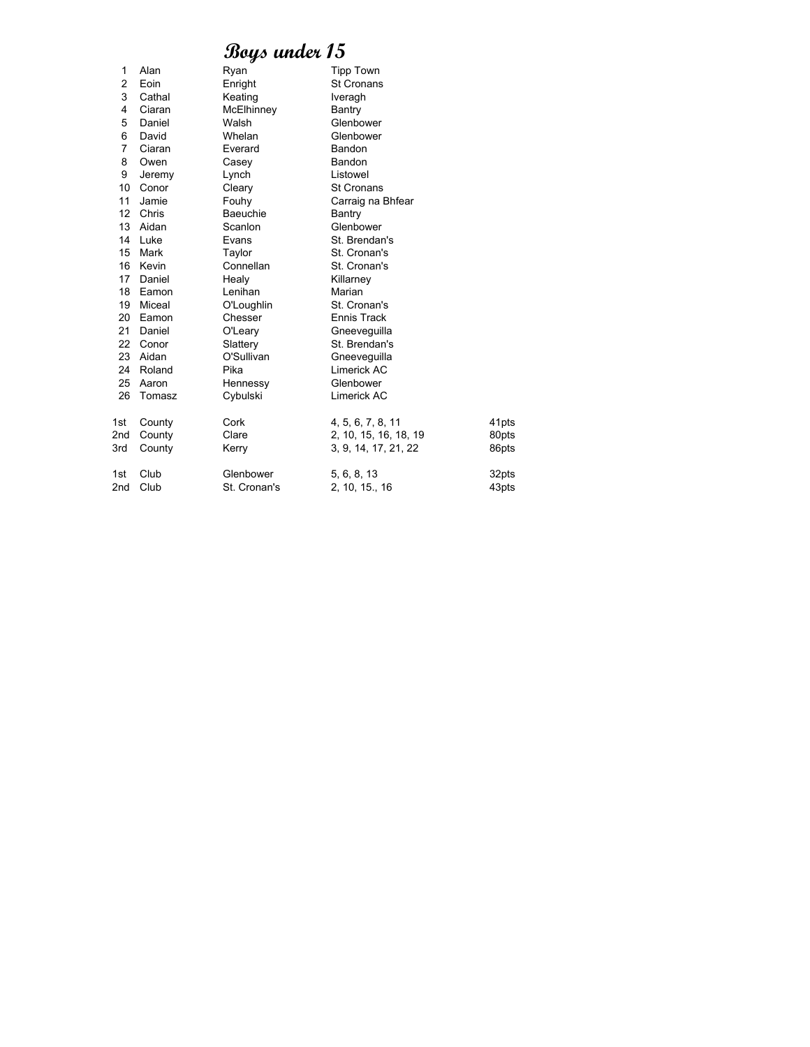| 1               | Alan     | Ryan            | <b>Tipp Town</b>      |       |
|-----------------|----------|-----------------|-----------------------|-------|
| 2               | Eoin     | Enright         | <b>St Cronans</b>     |       |
| 3               | Cathal   | Keating         | Iveragh               |       |
| 4               | Ciaran   | McElhinney      | Bantry                |       |
| 5               | Daniel   | Walsh           | Glenbower             |       |
| 6               | David    | Whelan          | Glenbower             |       |
| 7               | Ciaran   | Everard         | Bandon                |       |
| 8               | Owen     | Casey           | Bandon                |       |
| 9               | Jeremy   | Lynch           | Listowel              |       |
| 10              | Conor    | Cleary          | <b>St Cronans</b>     |       |
| 11              | Jamie    | Fouhy           | Carraig na Bhfear     |       |
| 12              | Chris    | <b>Baeuchie</b> | Bantry                |       |
| 13              | Aidan    | Scanlon         | Glenbower             |       |
| 14              | Luke     | Evans           | St. Brendan's         |       |
| 15              | Mark     | Taylor          | St. Cronan's          |       |
| 16              | Kevin    | Connellan       | St. Cronan's          |       |
| 17              | Daniel   | Healy           | Killarney             |       |
| 18              | Eamon    | Lenihan         | Marian                |       |
| 19              | Miceal   | O'Loughlin      | St. Cronan's          |       |
| 20              | Eamon    | Chesser         | Ennis Track           |       |
| 21              | Daniel   | O'Leary         | Gneeveguilla          |       |
| 22              | Conor    | Slattery        | St. Brendan's         |       |
|                 | 23 Aidan | O'Sullivan      | Gneeveguilla          |       |
| 24              | Roland   | Pika            | Limerick AC           |       |
| 25              | Aaron    | Hennessy        | Glenbower             |       |
| 26              | Tomasz   | Cybulski        | Limerick AC           |       |
| 1st             | County   | Cork            | 4, 5, 6, 7, 8, 11     | 41pts |
| 2 <sub>nd</sub> | County   | Clare           | 2, 10, 15, 16, 18, 19 | 80pts |
| 3rd             | County   | Kerry           | 3, 9, 14, 17, 21, 22  | 86pts |
| 1st             | Club     | Glenbower       | 5, 6, 8, 13           | 32pts |
| 2nd             | Club     | St. Cronan's    | 2, 10, 15., 16        | 43pts |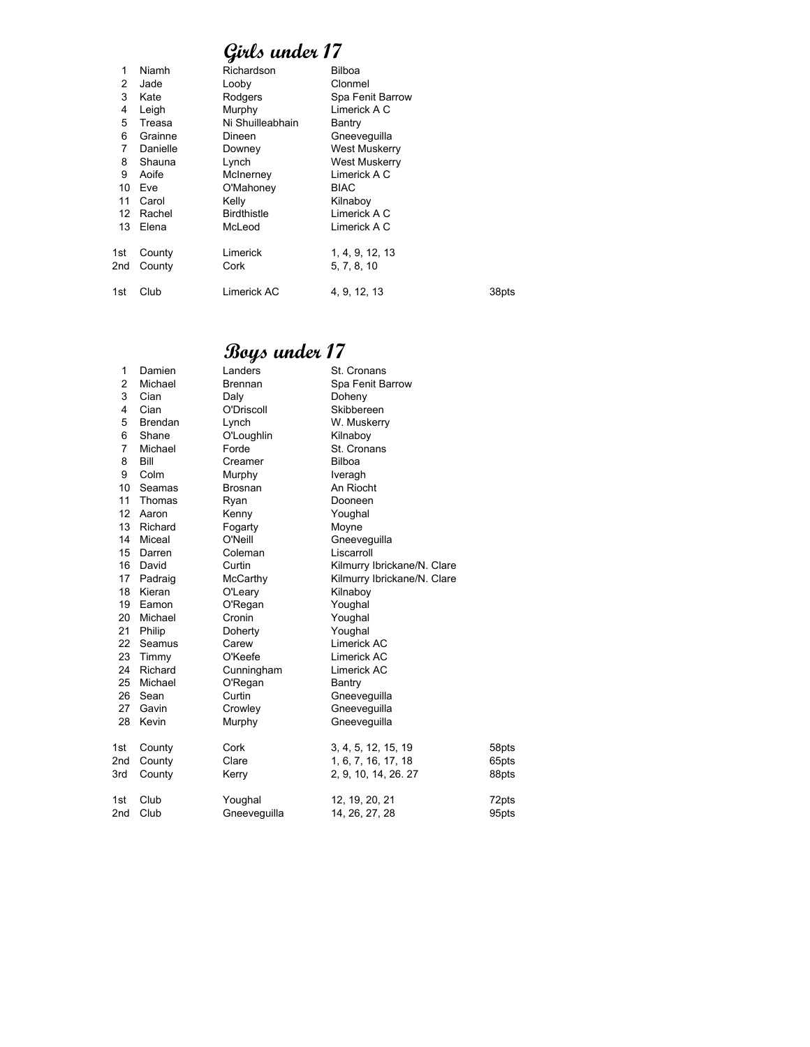| 1   | Niamh    | Richardson         | Bilboa               |       |
|-----|----------|--------------------|----------------------|-------|
| 2   | Jade     | Looby              | Clonmel              |       |
| 3   | Kate     | Rodgers            | Spa Fenit Barrow     |       |
| 4   | Leigh    | Murphy             | Limerick A C         |       |
| 5   | Treasa   | Ni Shuilleabhain   | Bantry               |       |
| 6   | Grainne  | Dineen             | Gneeveguilla         |       |
| 7   | Danielle | Downey             | <b>West Muskerry</b> |       |
| 8   | Shauna   | Lynch              | West Muskerry        |       |
| 9   | Aoife    | McInerney          | Limerick A C         |       |
| 10  | Eve      | O'Mahoney          | <b>BIAC</b>          |       |
| 11  | Carol    | Kelly              | Kilnaboy             |       |
| 12  | Rachel   | <b>Birdthistle</b> | Limerick A C         |       |
| 13  | Elena    | McLeod             | Limerick A C         |       |
| 1st | County   | Limerick           | 1, 4, 9, 12, 13      |       |
| 2nd | County   | Cork               | 5, 7, 8, 10          |       |
| 1st | Club     | Limerick AC        | 4, 9, 12, 13         | 38pts |
|     |          |                    |                      |       |

| 1   | Damien         | Landers        | St. Cronans                 |       |
|-----|----------------|----------------|-----------------------------|-------|
| 2   | Michael        | <b>Brennan</b> | Spa Fenit Barrow            |       |
| 3   | Cian           | Daly           | Doheny                      |       |
| 4   | Cian           | O'Driscoll     | Skibbereen                  |       |
| 5   | <b>Brendan</b> | Lynch          | W. Muskerry                 |       |
| 6   | Shane          | O'Loughlin     | Kilnaboy                    |       |
| 7   | Michael        | Forde          | St. Cronans                 |       |
| 8   | Bill           | Creamer        | <b>Bilboa</b>               |       |
| 9   | Colm           | Murphy         | Iveragh                     |       |
| 10  | Seamas         | <b>Brosnan</b> | An Riocht                   |       |
| 11  | Thomas         | Ryan           | Dooneen                     |       |
| 12  | Aaron          | Kenny          | Youghal                     |       |
| 13  | Richard        | Fogarty        | Moyne                       |       |
| 14  | Miceal         | O'Neill        | Gneeveguilla                |       |
| 15  | Darren         | Coleman        | Liscarroll                  |       |
| 16  | David          | Curtin         | Kilmurry Ibrickane/N. Clare |       |
| 17  | Padraig        | McCarthy       | Kilmurry Ibrickane/N. Clare |       |
| 18  | Kieran         | O'Leary        | Kilnaboy                    |       |
| 19  | Eamon          | O'Regan        | Youghal                     |       |
| 20  | Michael        | Cronin         | Youghal                     |       |
| 21  | Philip         | Doherty        | Youghal                     |       |
| 22  | Seamus         | Carew          | Limerick AC                 |       |
| 23  | Timmy          | O'Keefe        | Limerick AC                 |       |
| 24  | Richard        | Cunningham     | Limerick AC                 |       |
| 25  | Michael        | O'Regan        | Bantry                      |       |
| 26  | Sean           | Curtin         | Gneeveguilla                |       |
| 27  | Gavin          | Crowley        | Gneeveguilla                |       |
| 28  | Kevin          | Murphy         | Gneeveguilla                |       |
| 1st | County         | Cork           | 3, 4, 5, 12, 15, 19         | 58pts |
| 2nd | County         | Clare          | 1, 6, 7, 16, 17, 18         | 65pts |
| 3rd | County         | Kerry          | 2, 9, 10, 14, 26, 27        | 88pts |
| 1st | Club           | Youghal        | 12, 19, 20, 21              | 72pts |
| 2nd | Club           | Gneevequilla   | 14, 26, 27, 28              | 95pts |